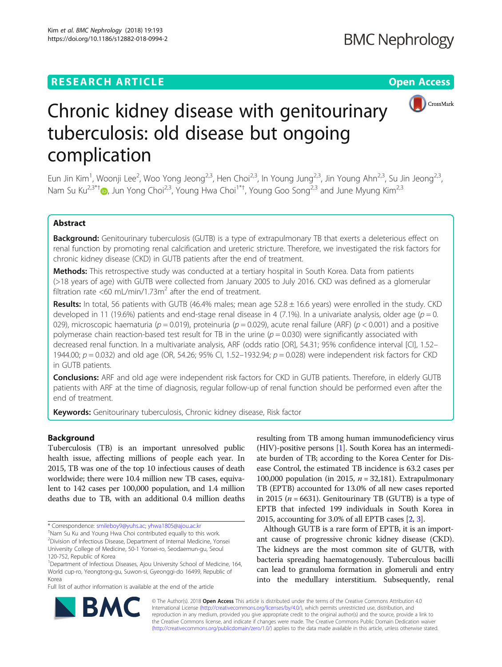# **RESEARCH ARTICLE CONSIDERING A RESEARCH ARTICLE**



# Chronic kidney disease with genitourinary tuberculosis: old disease but ongoing complication

Eun Jin Kim<sup>1</sup>, Woonji Lee<sup>2</sup>, Woo Yong Jeong<sup>2,3</sup>, Hen Choi<sup>2,3</sup>, In Young Jung<sup>2,3</sup>, Jin Young Ahn<sup>2,3</sup>, Su Jin Jeong<sup>2,3</sup>, Nam Su Ku<sup>2,3\*[†](http://orcid.org/0000-0002-9717-4327)</sup>®, Jun Yong Choi<sup>2,3</sup>, Young Hwa Choi<sup>1\*†</sup>, Young Goo Song<sup>2,3</sup> and June Myung Kim<sup>2,3</sup>

# Abstract

Background: Genitourinary tuberculosis (GUTB) is a type of extrapulmonary TB that exerts a deleterious effect on renal function by promoting renal calcification and ureteric stricture. Therefore, we investigated the risk factors for chronic kidney disease (CKD) in GUTB patients after the end of treatment.

Methods: This retrospective study was conducted at a tertiary hospital in South Korea. Data from patients (>18 years of age) with GUTB were collected from January 2005 to July 2016. CKD was defined as a glomerular filtration rate <60 mL/min/1.73 $\text{m}^2$  after the end of treatment.

**Results:** In total, 56 patients with GUTB (46.4% males; mean age  $52.8 \pm 16.6$  years) were enrolled in the study. CKD developed in 11 (19.6%) patients and end-stage renal disease in 4 (7.1%). In a univariate analysis, older age ( $p = 0$ . 029), microscopic haematuria (p = 0.019), proteinuria (p = 0.029), acute renal failure (ARF) (p < 0.001) and a positive polymerase chain reaction-based test result for TB in the urine  $(p = 0.030)$  were significantly associated with decreased renal function. In a multivariate analysis, ARF (odds ratio [OR], 54.31; 95% confidence interval [CI], 1.52– 1944.00;  $p = 0.032$ ) and old age (OR, 54.26; 95% CI, 1.52–1932.94;  $p = 0.028$ ) were independent risk factors for CKD in GUTB patients.

**Conclusions:** ARF and old age were independent risk factors for CKD in GUTB patients. Therefore, in elderly GUTB patients with ARF at the time of diagnosis, regular follow-up of renal function should be performed even after the end of treatment.

Keywords: Genitourinary tuberculosis, Chronic kidney disease, Risk factor

# Background

Tuberculosis (TB) is an important unresolved public health issue, affecting millions of people each year. In 2015, TB was one of the top 10 infectious causes of death worldwide; there were 10.4 million new TB cases, equivalent to 142 cases per 100,000 population, and 1.4 million deaths due to TB, with an additional 0.4 million deaths

\* Correspondence: [smileboy9@yuhs.ac](mailto:smileboy9@yuhs.ac); [yhwa1805@ajou.ac.kr](mailto:yhwa1805@ajou.ac.kr) †

Full list of author information is available at the end of the article

resulting from TB among human immunodeficiency virus (HIV)-positive persons [\[1\]](#page-6-0). South Korea has an intermediate burden of TB; according to the Korea Center for Disease Control, the estimated TB incidence is 63.2 cases per 100,000 population (in 2015,  $n = 32,181$ ). Extrapulmonary TB (EPTB) accounted for 13.0% of all new cases reported in 2015 ( $n = 6631$ ). Genitourinary TB (GUTB) is a type of EPTB that infected 199 individuals in South Korea in 2015, accounting for 3.0% of all EPTB cases [\[2,](#page-6-0) [3](#page-6-0)].

Although GUTB is a rare form of EPTB, it is an important cause of progressive chronic kidney disease (CKD). The kidneys are the most common site of GUTB, with bacteria spreading haematogenously. Tuberculous bacilli can lead to granuloma formation in glomeruli and entry into the medullary interstitium. Subsequently, renal



© The Author(s). 2018 Open Access This article is distributed under the terms of the Creative Commons Attribution 4.0 International License [\(http://creativecommons.org/licenses/by/4.0/](http://creativecommons.org/licenses/by/4.0/)), which permits unrestricted use, distribution, and reproduction in any medium, provided you give appropriate credit to the original author(s) and the source, provide a link to the Creative Commons license, and indicate if changes were made. The Creative Commons Public Domain Dedication waiver [\(http://creativecommons.org/publicdomain/zero/1.0/](http://creativecommons.org/publicdomain/zero/1.0/)) applies to the data made available in this article, unless otherwise stated.

Nam Su Ku and Young Hwa Choi contributed equally to this work. 2 Division of Infectious Disease, Department of Internal Medicine, Yonsei University College of Medicine, 50-1 Yonsei-ro, Seodaemun-gu, Seoul 120-752, Republic of Korea

<sup>&</sup>lt;sup>1</sup>Department of Infectious Diseases, Ajou University School of Medicine, 164, World cup-ro, Yeongtong-gu, Suwon-si, Gyeonggi-do 16499, Republic of Korea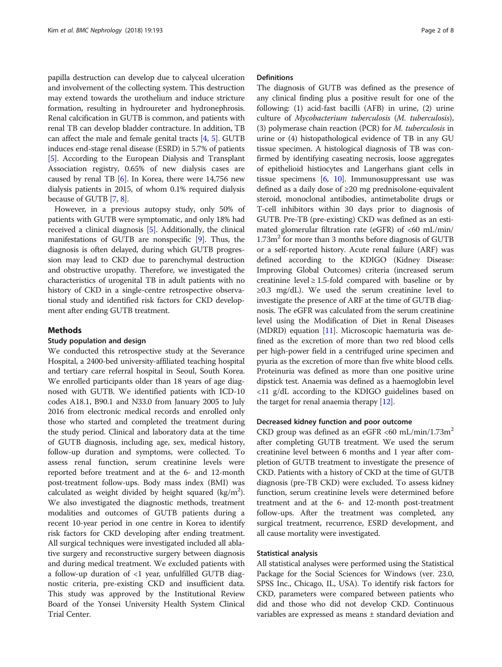papilla destruction can develop due to calyceal ulceration and involvement of the collecting system. This destruction may extend towards the urothelium and induce stricture formation, resulting in hydroureter and hydronephrosis. Renal calcification in GUTB is common, and patients with renal TB can develop bladder contracture. In addition, TB can affect the male and female genital tracts [\[4,](#page-6-0) [5\]](#page-6-0). GUTB induces end-stage renal disease (ESRD) in 5.7% of patients [[5\]](#page-6-0). According to the European Dialysis and Transplant Association registry, 0.65% of new dialysis cases are caused by renal TB  $[6]$  $[6]$  $[6]$ . In Korea, there were 14,756 new dialysis patients in 2015, of whom 0.1% required dialysis because of GUTB [\[7](#page-7-0), [8\]](#page-7-0).

However, in a previous autopsy study, only 50% of patients with GUTB were symptomatic, and only 18% had received a clinical diagnosis [\[5\]](#page-6-0). Additionally, the clinical manifestations of GUTB are nonspecific [\[9\]](#page-7-0). Thus, the diagnosis is often delayed, during which GUTB progression may lead to CKD due to parenchymal destruction and obstructive uropathy. Therefore, we investigated the characteristics of urogenital TB in adult patients with no history of CKD in a single-centre retrospective observational study and identified risk factors for CKD development after ending GUTB treatment.

# Methods

# Study population and design

We conducted this retrospective study at the Severance Hospital, a 2400-bed university-affiliated teaching hospital and tertiary care referral hospital in Seoul, South Korea. We enrolled participants older than 18 years of age diagnosed with GUTB. We identified patients with ICD-10 codes A18.1, B90.1 and N33.0 from January 2005 to July 2016 from electronic medical records and enrolled only those who started and completed the treatment during the study period. Clinical and laboratory data at the time of GUTB diagnosis, including age, sex, medical history, follow-up duration and symptoms, were collected. To assess renal function, serum creatinine levels were reported before treatment and at the 6- and 12-month post-treatment follow-ups. Body mass index (BMI) was calculated as weight divided by height squared (kg/m<sup>2</sup>). We also investigated the diagnostic methods, treatment modalities and outcomes of GUTB patients during a recent 10-year period in one centre in Korea to identify risk factors for CKD developing after ending treatment. All surgical techniques were investigated included all ablative surgery and reconstructive surgery between diagnosis and during medical treatment. We excluded patients with a follow-up duration of <1 year, unfulfilled GUTB diagnostic criteria, pre-existing CKD and insufficient data. This study was approved by the Institutional Review Board of the Yonsei University Health System Clinical Trial Center.

# **Definitions**

The diagnosis of GUTB was defined as the presence of any clinical finding plus a positive result for one of the following: (1) acid-fast bacilli (AFB) in urine, (2) urine culture of Mycobacterium tuberculosis (M. tuberculosis), (3) polymerase chain reaction (PCR) for M. tuberculosis in urine or (4) histopathological evidence of TB in any GU tissue specimen. A histological diagnosis of TB was confirmed by identifying caseating necrosis, loose aggregates of epithelioid histiocytes and Langerhans giant cells in tissue specimens  $[6, 10]$  $[6, 10]$  $[6, 10]$ . Immunosuppressant use was defined as a daily dose of ≥20 mg prednisolone-equivalent steroid, monoclonal antibodies, antimetabolite drugs or T-cell inhibitors within 30 days prior to diagnosis of GUTB. Pre-TB (pre-existing) CKD was defined as an estimated glomerular filtration rate (eGFR) of <60 mL/min/  $1.73m<sup>2</sup>$  for more than 3 months before diagnosis of GUTB or a self-reported history. Acute renal failure (ARF) was defined according to the KDIGO (Kidney Disease: Improving Global Outcomes) criteria (increased serum creatinine level  $\geq 1.5$ -fold compared with baseline or by  $\geq 0.3$  mg/dL). We used the serum creatinine level to investigate the presence of ARF at the time of GUTB diagnosis. The eGFR was calculated from the serum creatinine level using the Modification of Diet in Renal Diseases (MDRD) equation [[11](#page-7-0)]. Microscopic haematuria was defined as the excretion of more than two red blood cells per high-power field in a centrifuged urine specimen and pyuria as the excretion of more than five white blood cells. Proteinuria was defined as more than one positive urine dipstick test. Anaemia was defined as a haemoglobin level <11 g/dL according to the KDIGO guidelines based on the target for renal anaemia therapy [[12](#page-7-0)].

#### Decreased kidney function and poor outcome

CKD group was defined as an eGFR <60 mL/min/1.73m<sup>2</sup> after completing GUTB treatment. We used the serum creatinine level between 6 months and 1 year after completion of GUTB treatment to investigate the presence of CKD. Patients with a history of CKD at the time of GUTB diagnosis (pre-TB CKD) were excluded. To assess kidney function, serum creatinine levels were determined before treatment and at the 6- and 12-month post-treatment follow-ups. After the treatment was completed, any surgical treatment, recurrence, ESRD development, and all cause mortality were investigated.

### Statistical analysis

All statistical analyses were performed using the Statistical Package for the Social Sciences for Windows (ver. 23.0, SPSS Inc., Chicago, IL, USA). To identify risk factors for CKD, parameters were compared between patients who did and those who did not develop CKD. Continuous variables are expressed as means ± standard deviation and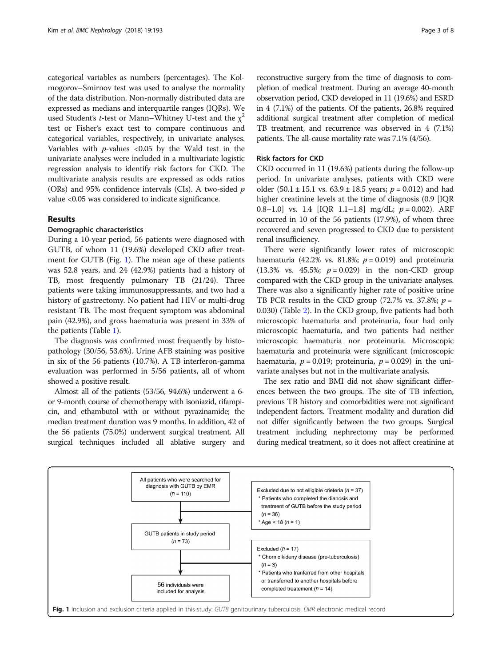categorical variables as numbers (percentages). The Kolmogorov–Smirnov test was used to analyse the normality of the data distribution. Non-normally distributed data are expressed as medians and interquartile ranges (IQRs). We used Student's t-test or Mann–Whitney U-test and the  $\chi^2$ test or Fisher's exact test to compare continuous and categorical variables, respectively, in univariate analyses. Variables with  $p$ -values <0.05 by the Wald test in the univariate analyses were included in a multivariate logistic regression analysis to identify risk factors for CKD. The multivariate analysis results are expressed as odds ratios (ORs) and 95% confidence intervals (CIs). A two-sided  $p$ value <0.05 was considered to indicate significance.

# Results

# Demographic characteristics

During a 10-year period, 56 patients were diagnosed with GUTB, of whom 11 (19.6%) developed CKD after treatment for GUTB (Fig. 1). The mean age of these patients was 52.8 years, and 24 (42.9%) patients had a history of TB, most frequently pulmonary TB (21/24). Three patients were taking immunosuppressants, and two had a history of gastrectomy. No patient had HIV or multi-drug resistant TB. The most frequent symptom was abdominal pain (42.9%), and gross haematuria was present in 33% of the patients (Table [1](#page-3-0)).

The diagnosis was confirmed most frequently by histopathology (30/56, 53.6%). Urine AFB staining was positive in six of the 56 patients (10.7%). A TB interferon-gamma evaluation was performed in 5/56 patients, all of whom showed a positive result.

Almost all of the patients (53/56, 94.6%) underwent a 6 or 9-month course of chemotherapy with isoniazid, rifampicin, and ethambutol with or without pyrazinamide; the median treatment duration was 9 months. In addition, 42 of the 56 patients (75.0%) underwent surgical treatment. All surgical techniques included all ablative surgery and

reconstructive surgery from the time of diagnosis to completion of medical treatment. During an average 40-month observation period, CKD developed in 11 (19.6%) and ESRD in 4 (7.1%) of the patients. Of the patients, 26.8% required additional surgical treatment after completion of medical TB treatment, and recurrence was observed in 4 (7.1%) patients. The all-cause mortality rate was 7.1% (4/56).

# Risk factors for CKD

CKD occurred in 11 (19.6%) patients during the follow-up period. In univariate analyses, patients with CKD were older (50.1 ± 15.1 vs. 63.9 ± 18.5 years;  $p = 0.012$ ) and had higher creatinine levels at the time of diagnosis (0.9 [IQR 0.8–1.0] vs. 1.4  $[IQR \ 1.1-1.8]$  mg/dL;  $p = 0.002$ ). ARF occurred in 10 of the 56 patients (17.9%), of whom three recovered and seven progressed to CKD due to persistent renal insufficiency.

There were significantly lower rates of microscopic haematuria (42.2% vs. 81.8%;  $p = 0.019$ ) and proteinuria (13.3% vs. 45.5%;  $p = 0.029$ ) in the non-CKD group compared with the CKD group in the univariate analyses. There was also a significantly higher rate of positive urine TB PCR results in the CKD group (72.7% vs. 37.8%;  $p =$ 0.030) (Table [2\)](#page-4-0). In the CKD group, five patients had both microscopic haematuria and proteinuria, four had only microscopic haematuria, and two patients had neither microscopic haematuria nor proteinuria. Microscopic haematuria and proteinuria were significant (microscopic haematuria,  $p = 0.019$ ; proteinuria,  $p = 0.029$ ) in the univariate analyses but not in the multivariate analysis.

The sex ratio and BMI did not show significant differences between the two groups. The site of TB infection, previous TB history and comorbidities were not significant independent factors. Treatment modality and duration did not differ significantly between the two groups. Surgical treatment including nephrectomy may be performed during medical treatment, so it does not affect creatinine at

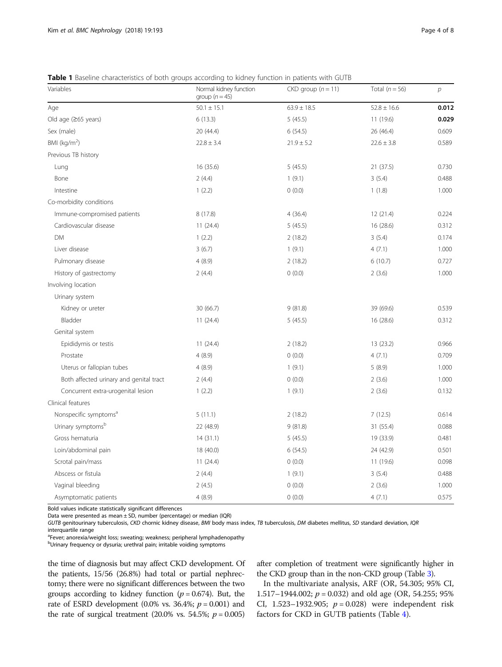<span id="page-3-0"></span>Table 1 Baseline characteristics of both groups according to kidney function in patients with GUTB

| Variables                               | Normal kidney function<br>group ( $n = 45$ ) | $CKD$ group $(n = 11)$ | Total $(n = 56)$ | $\overline{p}$ |
|-----------------------------------------|----------------------------------------------|------------------------|------------------|----------------|
| Age                                     | $50.1 \pm 15.1$                              | $63.9 \pm 18.5$        | $52.8 \pm 16.6$  | 0.012          |
| Old age (≥65 years)                     | 6(13.3)                                      | 5(45.5)                | 11 (19.6)        | 0.029          |
| Sex (male)                              | 20 (44.4)                                    | 6(54.5)                | 26 (46.4)        | 0.609          |
| BMI $(kq/m2)$                           | $22.8 \pm 3.4$                               | $21.9 \pm 5.2$         | $22.6 \pm 3.8$   | 0.589          |
| Previous TB history                     |                                              |                        |                  |                |
| Lung                                    | 16 (35.6)                                    | 5(45.5)                | 21 (37.5)        | 0.730          |
| Bone                                    | 2(4.4)                                       | 1(9.1)                 | 3(5.4)           | 0.488          |
| Intestine                               | 1(2.2)                                       | 0(0.0)                 | 1(1.8)           | 1.000          |
| Co-morbidity conditions                 |                                              |                        |                  |                |
| Immune-compromised patients             | 8(17.8)                                      | 4(36.4)                | 12(21.4)         | 0.224          |
| Cardiovascular disease                  | 11(24.4)                                     | 5(45.5)                | 16 (28.6)        | 0.312          |
| <b>DM</b>                               | 1(2.2)                                       | 2(18.2)                | 3(5.4)           | 0.174          |
| Liver disease                           | 3(6.7)                                       | 1(9.1)                 | 4(7.1)           | 1.000          |
| Pulmonary disease                       | 4(8.9)                                       | 2(18.2)                | 6(10.7)          | 0.727          |
| History of gastrectomy                  | 2(4.4)                                       | 0(0.0)                 | 2(3.6)           | 1.000          |
| Involving location                      |                                              |                        |                  |                |
| Urinary system                          |                                              |                        |                  |                |
| Kidney or ureter                        | 30 (66.7)                                    | 9(81.8)                | 39 (69.6)        | 0.539          |
| Bladder                                 | 11(24.4)                                     | 5(45.5)                | 16(28.6)         | 0.312          |
| Genital system                          |                                              |                        |                  |                |
| Epididymis or testis                    | 11 (24.4)                                    | 2(18.2)                | 13 (23.2)        | 0.966          |
| Prostate                                | 4(8.9)                                       | 0(0.0)                 | 4(7.1)           | 0.709          |
| Uterus or fallopian tubes               | 4(8.9)                                       | 1(9.1)                 | 5(8.9)           | 1.000          |
| Both affected urinary and genital tract | 2(4.4)                                       | 0(0.0)                 | 2(3.6)           | 1.000          |
| Concurrent extra-urogenital lesion      | 1(2.2)                                       | 1(9.1)                 | 2(3.6)           | 0.132          |
| Clinical features                       |                                              |                        |                  |                |
| Nonspecific symptoms <sup>a</sup>       | 5(11.1)                                      | 2(18.2)                | 7(12.5)          | 0.614          |
| Urinary symptoms <sup>b</sup>           | 22 (48.9)                                    | 9(81.8)                | 31 (55.4)        | 0.088          |
| Gross hematuria                         | 14(31.1)                                     | 5(45.5)                | 19 (33.9)        | 0.481          |
| Loin/abdominal pain                     | 18 (40.0)                                    | 6(54.5)                | 24 (42.9)        | 0.501          |
| Scrotal pain/mass                       | 11(24.4)                                     | 0(0.0)                 | 11(19.6)         | 0.098          |
| Abscess or fistula                      | 2(4.4)                                       | 1(9.1)                 | 3(5.4)           | 0.488          |
| Vaginal bleeding                        | 2(4.5)                                       | 0(0.0)                 | 2(3.6)           | 1.000          |
| Asymptomatic patients                   | 4(8.9)                                       | 0(0.0)                 | 4(7.1)           | 0.575          |

Bold values indicate statistically significant differences

Data were presented as mean ± SD, number (percentage) or median (IQR)

GUTB genitourinary tuberculosis, CKD chornic kidney disease, BMI body mass index, TB tuberculosis, DM diabetes mellitus, SD standard deviation, IQR interquartile range

<sup>a</sup>Fever; anorexia/weight loss; sweating; weakness; peripheral lymphadenopathy

<sup>b</sup>Urinary frequency or dysuria; urethral pain; irritable voiding symptoms

the time of diagnosis but may affect CKD development. Of the patients, 15/56 (26.8%) had total or partial nephrectomy; there were no significant differences between the two groups according to kidney function ( $p = 0.674$ ). But, the rate of ESRD development (0.0% vs. 36.4%;  $p = 0.001$ ) and the rate of surgical treatment (20.0% vs. 54.5%;  $p = 0.005$ )

after completion of treatment were significantly higher in the CKD group than in the non-CKD group (Table [3\)](#page-5-0).

In the multivariate analysis, ARF (OR, 54.305; 95% CI, 1.517–1944.002;  $p = 0.032$ ) and old age (OR, 54.255; 95% CI, 1.523–1932.905;  $p = 0.028$ ) were independent risk factors for CKD in GUTB patients (Table [4](#page-5-0)).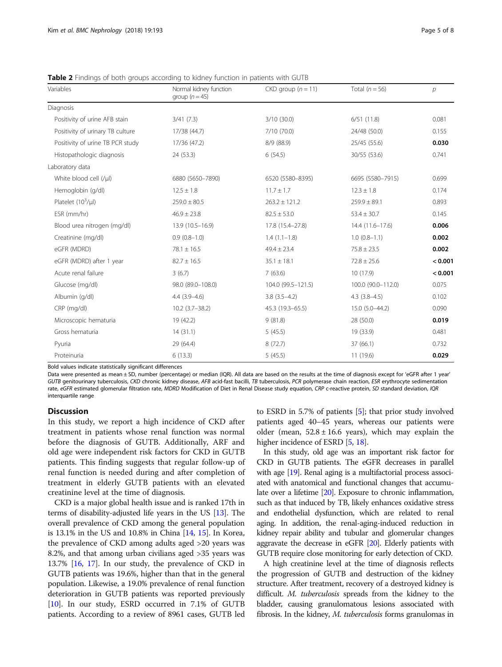<span id="page-4-0"></span>Table 2 Findings of both groups according to kidney function in patients with GUTB

| Variables                        | Normal kidney function<br>group $(n=45)$ | $CKD$ group $(n = 11)$ | Total $(n = 56)$   | $\overline{p}$ |
|----------------------------------|------------------------------------------|------------------------|--------------------|----------------|
| Diagnosis                        |                                          |                        |                    |                |
| Positivity of urine AFB stain    | 3/41(7.3)                                | 3/10(30.0)             | 6/51(11.8)         | 0.081          |
| Positivity of urinary TB culture | 17/38 (44.7)                             | 7/10 (70.0)            | 24/48 (50.0)       | 0.155          |
| Positivity of urine TB PCR study | 17/36 (47.2)                             | 8/9(88.9)              | 25/45 (55.6)       | 0.030          |
| Histopathologic diagnosis        | 24 (53.3)                                | 6(54.5)                | 30/55 (53.6)       | 0.741          |
| Laboratory data                  |                                          |                        |                    |                |
| White blood cell (/µl)           | 6880 (5650-7890)                         | 6520 (5580-8395)       | 6695 (5580-7915)   | 0.699          |
| Hemoglobin (g/dl)                | $12.5 \pm 1.8$                           | $11.7 \pm 1.7$         | $12.3 \pm 1.8$     | 0.174          |
| Platelet $(10^3/\mu l)$          | $259.0 \pm 80.5$                         | $263.2 \pm 121.2$      | $259.9 \pm 89.1$   | 0.893          |
| ESR (mm/hr)                      | $46.9 \pm 23.8$                          | $82.5 \pm 53.0$        | $53.4 \pm 30.7$    | 0.145          |
| Blood urea nitrogen (mg/dl)      | 13.9 (10.5-16.9)                         | 17.8 (15.4-27.8)       | $14.4(11.6-17.6)$  | 0.006          |
| Creatinine (mg/dl)               | $0.9(0.8-1.0)$                           | $1.4(1.1-1.8)$         | $1.0(0.8-1.1)$     | 0.002          |
| eGFR (MDRD)                      | $78.1 \pm 16.5$                          | $49.4 \pm 23.4$        | $75.8 \pm 23.5$    | 0.002          |
| eGFR (MDRD) after 1 year         | $82.7 \pm 16.5$                          | $35.1 \pm 18.1$        | $72.8 \pm 25.6$    | < 0.001        |
| Acute renal failure              | 3(6.7)                                   | 7(63.6)                | 10(17.9)           | < 0.001        |
| Glucose (mg/dl)                  | 98.0 (89.0-108.0)                        | 104.0 (99.5-121.5)     | 100.0 (90.0-112.0) | 0.075          |
| Albumin (g/dl)                   | $4.4(3.9-4.6)$                           | $3.8(3.5-4.2)$         | $4.3$ $(3.8-4.5)$  | 0.102          |
| CRP (mg/dl)                      | $10.2$ (3.7-38.2)                        | 45.3 (19.3-65.5)       | $15.0(5.0-44.2)$   | 0.090          |
| Microscopic hematuria            | 19 (42.2)                                | 9(81.8)                | 28 (50.0)          | 0.019          |
| Gross hematuria                  | 14(31.1)                                 | 5(45.5)                | 19 (33.9)          | 0.481          |
| Pyuria                           | 29 (64.4)                                | 8(72.7)                | 37(66.1)           | 0.732          |
| Proteinuria                      | 6(13.3)                                  | 5(45.5)                | 11 (19.6)          | 0.029          |

Bold values indicate statistically significant differences

Data were presented as mean ± SD, number (percentage) or median (IQR). All data are based on the results at the time of diagnosis except for 'eGFR after 1 year' GUTB genitourinary tuberculosis, CKD chronic kidney disease, AFB acid-fast bacilli, TB tuberculosis, PCR polymerase chain reaction, ESR erythrocyte sedimentation rate, eGFR estimated glomerular filtration rate, MDRD Modification of Diet in Renal Disease study equation, CRP c-reactive protein, SD standard deviation, IQR interquartile range

# **Discussion**

In this study, we report a high incidence of CKD after treatment in patients whose renal function was normal before the diagnosis of GUTB. Additionally, ARF and old age were independent risk factors for CKD in GUTB patients. This finding suggests that regular follow-up of renal function is needed during and after completion of treatment in elderly GUTB patients with an elevated creatinine level at the time of diagnosis.

CKD is a major global health issue and is ranked 17th in terms of disability-adjusted life years in the US [\[13\]](#page-7-0). The overall prevalence of CKD among the general population is 13.1% in the US and 10.8% in China [\[14,](#page-7-0) [15\]](#page-7-0). In Korea, the prevalence of CKD among adults aged >20 years was 8.2%, and that among urban civilians aged >35 years was 13.7% [\[16](#page-7-0), [17](#page-7-0)]. In our study, the prevalence of CKD in GUTB patients was 19.6%, higher than that in the general population. Likewise, a 19.0% prevalence of renal function deterioration in GUTB patients was reported previously [[10](#page-7-0)]. In our study, ESRD occurred in 7.1% of GUTB patients. According to a review of 8961 cases, GUTB led

to ESRD in 5.7% of patients [[5\]](#page-6-0); that prior study involved patients aged 40–45 years, whereas our patients were older (mean,  $52.8 \pm 16.6$  years), which may explain the higher incidence of ESRD [\[5,](#page-6-0) [18](#page-7-0)].

In this study, old age was an important risk factor for CKD in GUTB patients. The eGFR decreases in parallel with age [[19\]](#page-7-0). Renal aging is a multifactorial process associated with anatomical and functional changes that accumulate over a lifetime [\[20](#page-7-0)]. Exposure to chronic inflammation, such as that induced by TB, likely enhances oxidative stress and endothelial dysfunction, which are related to renal aging. In addition, the renal-aging-induced reduction in kidney repair ability and tubular and glomerular changes aggravate the decrease in eGFR [\[20\]](#page-7-0). Elderly patients with GUTB require close monitoring for early detection of CKD.

A high creatinine level at the time of diagnosis reflects the progression of GUTB and destruction of the kidney structure. After treatment, recovery of a destroyed kidney is difficult. M. tuberculosis spreads from the kidney to the bladder, causing granulomatous lesions associated with fibrosis. In the kidney, *M. tuberculosis* forms granulomas in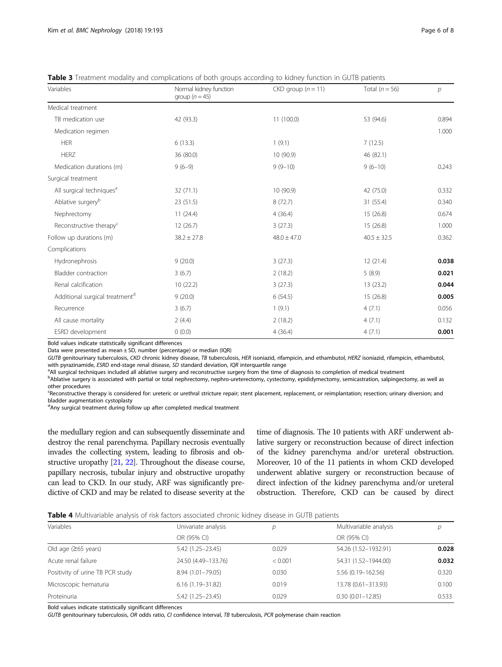<span id="page-5-0"></span>Table 3 Treatment modality and complications of both groups according to kidney function in GUTB patients

| Variables                                  | Normal kidney function<br>group $(n=45)$ | $CKD$ group $(n = 11)$ | Total $(n = 56)$ | р     |
|--------------------------------------------|------------------------------------------|------------------------|------------------|-------|
| Medical treatment                          |                                          |                        |                  |       |
| TB medication use                          | 42 (93.3)                                | 11 (100.0)             | 53 (94.6)        | 0.894 |
| Medication regimen                         |                                          |                        |                  | 1.000 |
| <b>HER</b>                                 | 6(13.3)                                  | 1(9.1)                 | 7(12.5)          |       |
| <b>HERZ</b>                                | 36 (80.0)                                | 10 (90.9)              | 46 (82.1)        |       |
| Medication durations (m)                   | $9(6-9)$                                 | $9(9-10)$              | $9(6-10)$        | 0.243 |
| Surgical treatment                         |                                          |                        |                  |       |
| All surgical techniques <sup>a</sup>       | 32(71.1)                                 | 10 (90.9)              | 42 (75.0)        | 0.332 |
| Ablative surgery <sup>b</sup>              | 23 (51.5)                                | 8(72.7)                | 31 (55.4)        | 0.340 |
| Nephrectomy                                | 11(24.4)                                 | 4(36.4)                | 15(26.8)         | 0.674 |
| Reconstructive therapy <sup>c</sup>        | 12(26.7)                                 | 3(27.3)                | 15(26.8)         | 1.000 |
| Follow up durations (m)                    | $38.2 \pm 27.8$                          | $48.0 \pm 47.0$        | $40.5 \pm 32.5$  | 0.362 |
| Complications                              |                                          |                        |                  |       |
| Hydronephrosis                             | 9(20.0)                                  | 3(27.3)                | 12 (21.4)        | 0.038 |
| Bladder contraction                        | 3(6.7)                                   | 2(18.2)                | 5(8.9)           | 0.021 |
| Renal calcification                        | 10(22.2)                                 | 3(27.3)                | 13 (23.2)        | 0.044 |
| Additional surgical treatment <sup>d</sup> | 9(20.0)                                  | 6(54.5)                | 15(26.8)         | 0.005 |
| Recurrence                                 | 3(6.7)                                   | 1(9.1)                 | 4(7.1)           | 0.056 |
| All cause mortality                        | 2(4.4)                                   | 2(18.2)                | 4(7.1)           | 0.132 |
| ESRD development                           | 0(0.0)                                   | 4(36.4)                | 4(7.1)           | 0.001 |

Bold values indicate statistically significant differences

Data were presented as mean ± SD, number (percentage) or median (IQR)

GUTB genitourinary tuberculosis, CKD chronic kidney disease, TB tuberculosis, HER isoniazid, rifampicin, and ethambutol, HERZ isoniazid, rifampicin, ethambutol, with pyrazinamide, ESRD end-stage renal disease, SD standard deviation, IQR interquartile range

<sup>a</sup> All surgical techniques included all ablative surgery and reconstructive surgery from the time of diagnosis to completion of medical treatment

b<br><sup>B</sup>Ablative surgery is associated with partial or total nephrectomy, nephro-ureterectomy, cystectomy, epididymectomy, semicastration, salpingectomy, as well as other procedures

exponstructive therapy is considered for: ureteric or urethral stricture repair; stent placement, replacement, or reimplantation; resection; urinary diversion; and bladder augmentation cystoplasty

<sup>d</sup>Any surgical treatment during follow up after completed medical treatment

the medullary region and can subsequently disseminate and destroy the renal parenchyma. Papillary necrosis eventually invades the collecting system, leading to fibrosis and obstructive uropathy [\[21,](#page-7-0) [22](#page-7-0)]. Throughout the disease course, papillary necrosis, tubular injury and obstructive uropathy can lead to CKD. In our study, ARF was significantly predictive of CKD and may be related to disease severity at the

time of diagnosis. The 10 patients with ARF underwent ablative surgery or reconstruction because of direct infection of the kidney parenchyma and/or ureteral obstruction. Moreover, 10 of the 11 patients in whom CKD developed underwent ablative surgery or reconstruction because of direct infection of the kidney parenchyma and/or ureteral obstruction. Therefore, CKD can be caused by direct

Table 4 Multivariable analysis of risk factors associated chronic kidney disease in GUTB patients

| Variables                        | Univariate analysis  | D       | Multivariable analysis | D     |
|----------------------------------|----------------------|---------|------------------------|-------|
|                                  | OR (95% CI)          |         | OR (95% CI)            |       |
| Old age $(265 \text{ years})$    | $5.42(1.25 - 23.45)$ | 0.029   | 54.26 (1.52-1932.91)   | 0.028 |
| Acute renal failure              | 24.50 (4.49-133.76)  | < 0.001 | 54.31 (1.52-1944.00)   | 0.032 |
| Positivity of urine TB PCR study | 8.94 (1.01-79.05)    | 0.030   | 5.56 (0.19-162.56)     | 0.320 |
| Microscopic hematuria            | $6.16(1.19 - 31.82)$ | 0.019   | 13.78 (0.61-313.93)    | 0.100 |
| Proteinuria                      | 5.42 (1.25 - 23.45)  | 0.029   | $0.30(0.01 - 12.85)$   | 0.533 |

Bold values indicate statistically significant differences

GUTB genitourinary tuberculosis, OR odds ratio, CI confidence interval, TB tuberculosis, PCR polymerase chain reaction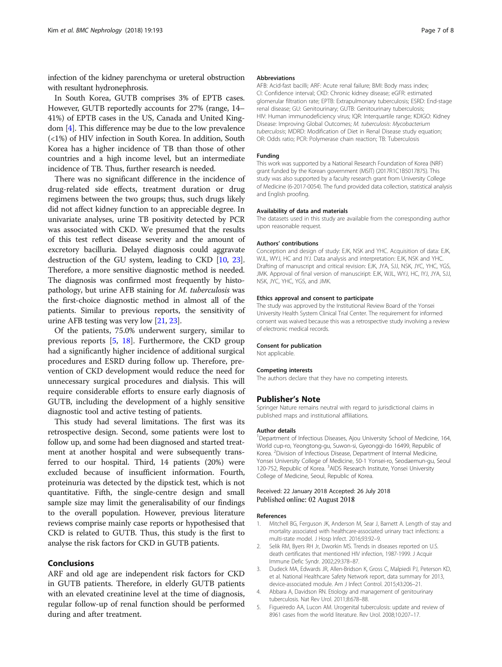<span id="page-6-0"></span>infection of the kidney parenchyma or ureteral obstruction with resultant hydronephrosis.

In South Korea, GUTB comprises 3% of EPTB cases. However, GUTB reportedly accounts for 27% (range, 14– 41%) of EPTB cases in the US, Canada and United Kingdom [4]. This difference may be due to the low prevalence (<1%) of HIV infection in South Korea. In addition, South Korea has a higher incidence of TB than those of other countries and a high income level, but an intermediate incidence of TB. Thus, further research is needed.

There was no significant difference in the incidence of drug-related side effects, treatment duration or drug regimens between the two groups; thus, such drugs likely did not affect kidney function to an appreciable degree. In univariate analyses, urine TB positivity detected by PCR was associated with CKD. We presumed that the results of this test reflect disease severity and the amount of excretory bacilluria. Delayed diagnosis could aggravate destruction of the GU system, leading to CKD [[10](#page-7-0), [23](#page-7-0)]. Therefore, a more sensitive diagnostic method is needed. The diagnosis was confirmed most frequently by histopathology, but urine AFB staining for M. tuberculosis was the first-choice diagnostic method in almost all of the patients. Similar to previous reports, the sensitivity of urine AFB testing was very low [[21](#page-7-0), [23](#page-7-0)].

Of the patients, 75.0% underwent surgery, similar to previous reports [5, [18\]](#page-7-0). Furthermore, the CKD group had a significantly higher incidence of additional surgical procedures and ESRD during follow up. Therefore, prevention of CKD development would reduce the need for unnecessary surgical procedures and dialysis. This will require considerable efforts to ensure early diagnosis of GUTB, including the development of a highly sensitive diagnostic tool and active testing of patients.

This study had several limitations. The first was its retrospective design. Second, some patients were lost to follow up, and some had been diagnosed and started treatment at another hospital and were subsequently transferred to our hospital. Third, 14 patients (20%) were excluded because of insufficient information. Fourth, proteinuria was detected by the dipstick test, which is not quantitative. Fifth, the single-centre design and small sample size may limit the generalisability of our findings to the overall population. However, previous literature reviews comprise mainly case reports or hypothesised that CKD is related to GUTB. Thus, this study is the first to analyse the risk factors for CKD in GUTB patients.

# Conclusions

ARF and old age are independent risk factors for CKD in GUTB patients. Therefore, in elderly GUTB patients with an elevated creatinine level at the time of diagnosis, regular follow-up of renal function should be performed during and after treatment.

#### Abbreviations

AFB: Acid-fast bacilli; ARF: Acute renal failure; BMI: Body mass index; CI: Confidence interval; CKD: Chronic kidney disease; eGFR: estimated glomerular filtration rate; EPTB: Extrapulmonary tuberculosis; ESRD: End-stage renal disease; GU: Genitourinary; GUTB: Genitourinary tuberculosis; HIV: Human immunodeficiency virus; IQR: Interquartile range; KDIGO: Kidney Disease: Improving Global Outcomes; M. tuberculosis: Mycobacterium tuberculosis; MDRD: Modification of Diet in Renal Disease study equation; OR: Odds ratio; PCR: Polymerase chain reaction; TB: Tuberculosis

#### Funding

This work was supported by a National Research Foundation of Korea (NRF) grant funded by the Korean government (MSIT) (2017R1C1B5017875). This study was also supported by a faculty research grant from University College of Medicine (6-2017-0054). The fund provided data collection, statistical analysis and English proofing.

#### Availability of data and materials

The datasets used in this study are available from the corresponding author upon reasonable request.

#### Authors' contributions

Conception and design of study: EJK, NSK and YHC. Acquisition of data: EJK, WJL, WYJ, HC and IYJ. Data analysis and interpretation: EJK, NSK and YHC. Drafting of manuscript and critical revision: EJK, JYA, SJJ, NSK, JYC, YHC, YGS, JMK. Approval of final version of manusciript: EJK, WJL, WYJ, HC, IYJ, JYA, SJJ, NSK, JYC, YHC, YGS, and JMK.

#### Ethics approval and consent to participate

The study was approved by the Institutional Review Board of the Yonsei University Health System Clinical Trial Center. The requirement for informed consent was waived because this was a retrospective study involving a review of electronic medical records.

#### Consent for publication

Not applicable.

#### Competing interests

The authors declare that they have no competing interests.

#### Publisher's Note

Springer Nature remains neutral with regard to jurisdictional claims in published maps and institutional affiliations.

#### Author details

<sup>1</sup>Department of Infectious Diseases, Ajou University School of Medicine, 164 World cup-ro, Yeongtong-gu, Suwon-si, Gyeonggi-do 16499, Republic of Korea. <sup>2</sup> Division of Infectious Disease, Department of Internal Medicine, Yonsei University College of Medicine, 50-1 Yonsei-ro, Seodaemun-gu, Seoul 120-752, Republic of Korea. <sup>3</sup>AIDS Research Institute, Yonsei University College of Medicine, Seoul, Republic of Korea.

# Received: 22 January 2018 Accepted: 26 July 2018 Published online: 02 August 2018

#### References

- Mitchell BG, Ferguson JK, Anderson M, Sear J, Barnett A. Length of stay and mortality associated with healthcare-associated urinary tract infections: a multi-state model. J Hosp Infect. 2016;93:92–9.
- 2. Selik RM, Byers RH Jr, Dworkin MS. Trends in diseases reported on U.S. death certificates that mentioned HIV infection, 1987-1999. J Acquir Immune Defic Syndr. 2002;29:378–87.
- 3. Dudeck MA, Edwards JR, Allen-Bridson K, Gross C, Malpiedi PJ, Peterson KD, et al. National Healthcare Safety Network report, data summary for 2013, device-associated module. Am J Infect Control. 2015;43:206–21.
- 4. Abbara A, Davidson RN. Etiology and management of genitourinary tuberculosis. Nat Rev Urol. 2011;8:678–88.
- 5. Figueiredo AA, Lucon AM. Urogenital tuberculosis: update and review of 8961 cases from the world literature. Rev Urol. 2008;10:207–17.